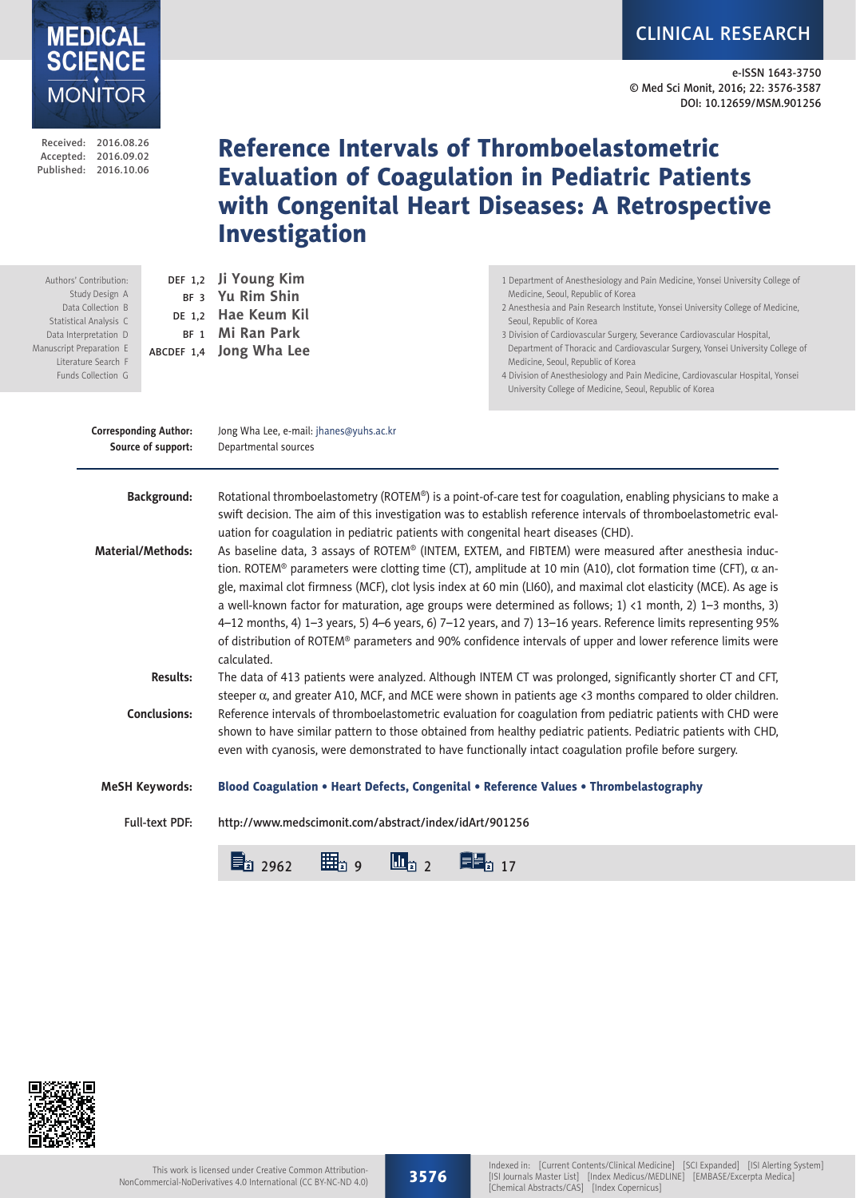CLINICAL RESEARCH

e-ISSN 1643-3750 © Med Sci Monit, 2016; 22: 3576-3587 DOI: 10.12659/MSM.901256

| Published: 2016.10.06                                                                                                                                                                     |  |                                                | <b>Investigation</b>                                                                                                                                                                                                                                                                                                                           | <b>Evaluation of Coagulation in Pediatric Patients</b><br>with Congenital Heart Diseases: A Retrospective                                                                                                                                                                                                                                                                                                                                                                                                                                                                                                                                                                                                                                                                                                                                                                                                                         |  |  |  |  |  |
|-------------------------------------------------------------------------------------------------------------------------------------------------------------------------------------------|--|------------------------------------------------|------------------------------------------------------------------------------------------------------------------------------------------------------------------------------------------------------------------------------------------------------------------------------------------------------------------------------------------------|-----------------------------------------------------------------------------------------------------------------------------------------------------------------------------------------------------------------------------------------------------------------------------------------------------------------------------------------------------------------------------------------------------------------------------------------------------------------------------------------------------------------------------------------------------------------------------------------------------------------------------------------------------------------------------------------------------------------------------------------------------------------------------------------------------------------------------------------------------------------------------------------------------------------------------------|--|--|--|--|--|
| Authors' Contribution:<br>Study Design A<br>Data Collection B<br>Statistical Analysis C<br>Data Interpretation D<br>Manuscript Preparation E<br>Literature Search F<br>Funds Collection G |  |                                                | DEF 1,2 Ji Young Kim<br>BF 3 Yu Rim Shin<br>DE 1,2 Hae Keum Kil<br>BF 1 Mi Ran Park<br>ABCDEF 1,4 Jong Wha Lee                                                                                                                                                                                                                                 | 1 Department of Anesthesiology and Pain Medicine, Yonsei University College of<br>Medicine, Seoul, Republic of Korea<br>2 Anesthesia and Pain Research Institute, Yonsei University College of Medicine,<br>Seoul, Republic of Korea<br>3 Division of Cardiovascular Surgery, Severance Cardiovascular Hospital,<br>Department of Thoracic and Cardiovascular Surgery, Yonsei University College of<br>Medicine, Seoul, Republic of Korea<br>4 Division of Anesthesiology and Pain Medicine, Cardiovascular Hospital, Yonsei<br>University College of Medicine, Seoul, Republic of Korea                                                                                                                                                                                                                                                                                                                                          |  |  |  |  |  |
| <b>Corresponding Author:</b><br>Source of support:                                                                                                                                        |  |                                                | Jong Wha Lee, e-mail: jhanes@yuhs.ac.kr<br>Departmental sources                                                                                                                                                                                                                                                                                |                                                                                                                                                                                                                                                                                                                                                                                                                                                                                                                                                                                                                                                                                                                                                                                                                                                                                                                                   |  |  |  |  |  |
|                                                                                                                                                                                           |  | <b>Background:</b><br><b>Material/Methods:</b> | uation for coagulation in pediatric patients with congenital heart diseases (CHD).<br>calculated.                                                                                                                                                                                                                                              | Rotational thromboelastometry (ROTEM®) is a point-of-care test for coagulation, enabling physicians to make a<br>swift decision. The aim of this investigation was to establish reference intervals of thromboelastometric eval-<br>As baseline data, 3 assays of ROTEM® (INTEM, EXTEM, and FIBTEM) were measured after anesthesia induc-<br>tion. ROTEM® parameters were clotting time (CT), amplitude at 10 min (A10), clot formation time (CFT), $\alpha$ an-<br>gle, maximal clot firmness (MCF), clot lysis index at 60 min (LI60), and maximal clot elasticity (MCE). As age is<br>a well-known factor for maturation, age groups were determined as follows; 1) <1 month, 2) 1-3 months, 3)<br>4-12 months, 4) 1-3 years, 5) 4-6 years, 6) 7-12 years, and 7) 13-16 years. Reference limits representing 95%<br>of distribution of ROTEM® parameters and 90% confidence intervals of upper and lower reference limits were |  |  |  |  |  |
|                                                                                                                                                                                           |  | <b>Results:</b><br><b>Conclusions:</b>         | The data of 413 patients were analyzed. Although INTEM CT was prolonged, significantly shorter CT and CFT,<br>steeper $\alpha$ , and greater A10, MCF, and MCE were shown in patients age <3 months compared to older children.<br>Reference intervals of thromboelastometric evaluation for coagulation from pediatric patients with CHD were |                                                                                                                                                                                                                                                                                                                                                                                                                                                                                                                                                                                                                                                                                                                                                                                                                                                                                                                                   |  |  |  |  |  |
|                                                                                                                                                                                           |  |                                                | shown to have similar pattern to those obtained from healthy pediatric patients. Pediatric patients with CHD,<br>even with cyanosis, were demonstrated to have functionally intact coagulation profile before surgery.                                                                                                                         |                                                                                                                                                                                                                                                                                                                                                                                                                                                                                                                                                                                                                                                                                                                                                                                                                                                                                                                                   |  |  |  |  |  |
|                                                                                                                                                                                           |  | <b>MeSH Keywords:</b>                          | Blood Coagulation . Heart Defects, Congenital . Reference Values . Thrombelastography                                                                                                                                                                                                                                                          |                                                                                                                                                                                                                                                                                                                                                                                                                                                                                                                                                                                                                                                                                                                                                                                                                                                                                                                                   |  |  |  |  |  |
|                                                                                                                                                                                           |  | <b>Full-text PDF:</b>                          | http://www.medscimonit.com/abstract/index/idArt/901256                                                                                                                                                                                                                                                                                         |                                                                                                                                                                                                                                                                                                                                                                                                                                                                                                                                                                                                                                                                                                                                                                                                                                                                                                                                   |  |  |  |  |  |
|                                                                                                                                                                                           |  |                                                | 目2962<br>曲』<br>$\mathbf{u}_{22}$                                                                                                                                                                                                                                                                                                               | <b>EB</b> <sub>2</sub> 17                                                                                                                                                                                                                                                                                                                                                                                                                                                                                                                                                                                                                                                                                                                                                                                                                                                                                                         |  |  |  |  |  |

Reference Intervals of Thromboelastometric



Received: 2016.08.26 Accepted: 2016.09.02

**MEDICAL<br>SCIENCE** 

MONITOR

Manus

3576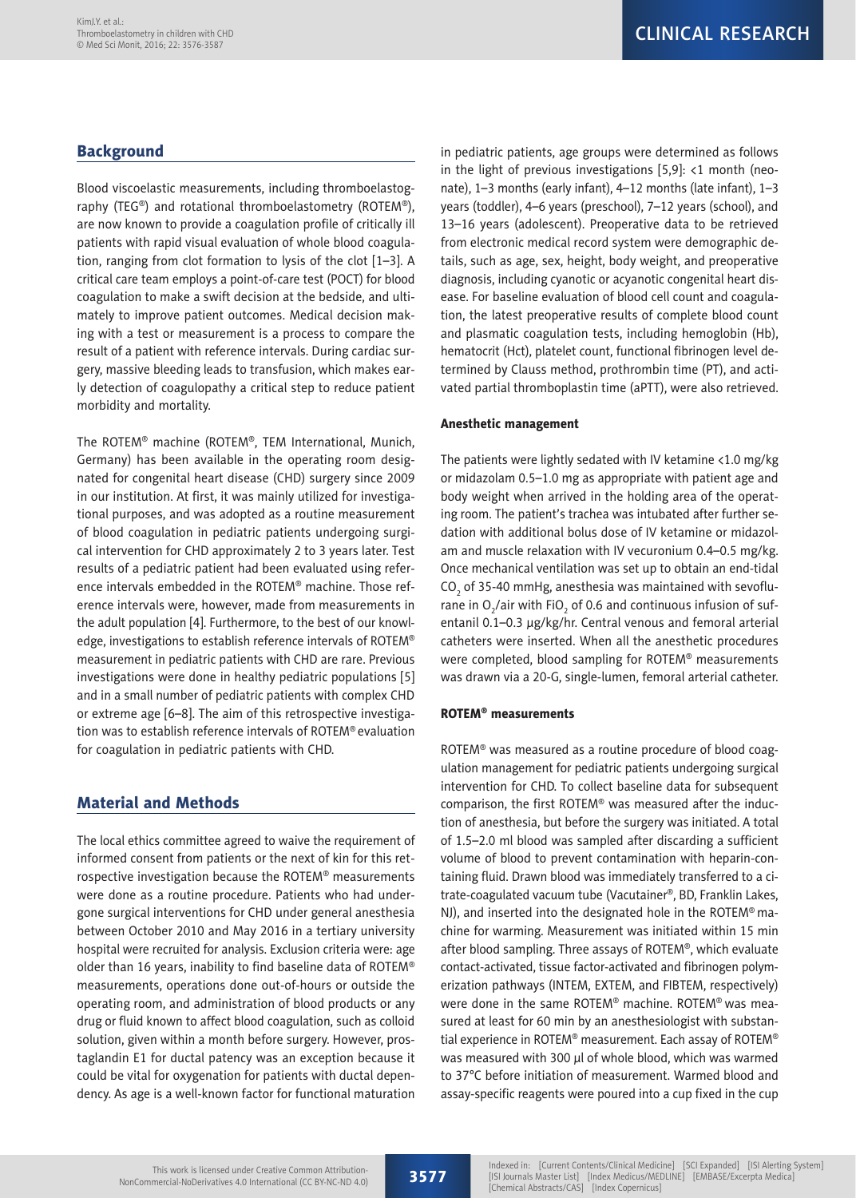# **Background**

Blood viscoelastic measurements, including thromboelastography (TEG®) and rotational thromboelastometry (ROTEM®), are now known to provide a coagulation profile of critically ill patients with rapid visual evaluation of whole blood coagulation, ranging from clot formation to lysis of the clot [1–3]. A critical care team employs a point-of-care test (POCT) for blood coagulation to make a swift decision at the bedside, and ultimately to improve patient outcomes. Medical decision making with a test or measurement is a process to compare the result of a patient with reference intervals. During cardiac surgery, massive bleeding leads to transfusion, which makes early detection of coagulopathy a critical step to reduce patient morbidity and mortality.

The ROTEM® machine (ROTEM®, TEM International, Munich, Germany) has been available in the operating room designated for congenital heart disease (CHD) surgery since 2009 in our institution. At first, it was mainly utilized for investigational purposes, and was adopted as a routine measurement of blood coagulation in pediatric patients undergoing surgical intervention for CHD approximately 2 to 3 years later. Test results of a pediatric patient had been evaluated using reference intervals embedded in the ROTEM® machine. Those reference intervals were, however, made from measurements in the adult population [4]. Furthermore, to the best of our knowledge, investigations to establish reference intervals of ROTEM® measurement in pediatric patients with CHD are rare. Previous investigations were done in healthy pediatric populations [5] and in a small number of pediatric patients with complex CHD or extreme age [6–8]. The aim of this retrospective investigation was to establish reference intervals of ROTEM® evaluation for coagulation in pediatric patients with CHD.

# Material and Methods

The local ethics committee agreed to waive the requirement of informed consent from patients or the next of kin for this retrospective investigation because the ROTEM® measurements were done as a routine procedure. Patients who had undergone surgical interventions for CHD under general anesthesia between October 2010 and May 2016 in a tertiary university hospital were recruited for analysis. Exclusion criteria were: age older than 16 years, inability to find baseline data of ROTEM® measurements, operations done out-of-hours or outside the operating room, and administration of blood products or any drug or fluid known to affect blood coagulation, such as colloid solution, given within a month before surgery. However, prostaglandin E1 for ductal patency was an exception because it could be vital for oxygenation for patients with ductal dependency. As age is a well-known factor for functional maturation in pediatric patients, age groups were determined as follows in the light of previous investigations [5,9]: <1 month (neonate), 1–3 months (early infant), 4–12 months (late infant), 1–3 years (toddler), 4–6 years (preschool), 7–12 years (school), and 13–16 years (adolescent). Preoperative data to be retrieved from electronic medical record system were demographic details, such as age, sex, height, body weight, and preoperative diagnosis, including cyanotic or acyanotic congenital heart disease. For baseline evaluation of blood cell count and coagulation, the latest preoperative results of complete blood count and plasmatic coagulation tests, including hemoglobin (Hb), hematocrit (Hct), platelet count, functional fibrinogen level determined by Clauss method, prothrombin time (PT), and activated partial thromboplastin time (aPTT), were also retrieved.

#### Anesthetic management

The patients were lightly sedated with IV ketamine <1.0 mg/kg or midazolam 0.5–1.0 mg as appropriate with patient age and body weight when arrived in the holding area of the operating room. The patient's trachea was intubated after further sedation with additional bolus dose of IV ketamine or midazolam and muscle relaxation with IV vecuronium 0.4–0.5 mg/kg. Once mechanical ventilation was set up to obtain an end-tidal CO $_{2}$  of 35-40 mmHg, anesthesia was maintained with sevoflurane in O $_2$ /air with FiO $_2$  of 0.6 and continuous infusion of sufentanil 0.1–0.3 µg/kg/hr. Central venous and femoral arterial catheters were inserted. When all the anesthetic procedures were completed, blood sampling for ROTEM® measurements was drawn via a 20-G, single-lumen, femoral arterial catheter.

### ROTEM® measurements

ROTEM® was measured as a routine procedure of blood coagulation management for pediatric patients undergoing surgical intervention for CHD. To collect baseline data for subsequent comparison, the first ROTEM® was measured after the induction of anesthesia, but before the surgery was initiated. A total of 1.5–2.0 ml blood was sampled after discarding a sufficient volume of blood to prevent contamination with heparin-containing fluid. Drawn blood was immediately transferred to a citrate-coagulated vacuum tube (Vacutainer®, BD, Franklin Lakes, NJ), and inserted into the designated hole in the ROTEM® machine for warming. Measurement was initiated within 15 min after blood sampling. Three assays of ROTEM®, which evaluate contact-activated, tissue factor-activated and fibrinogen polymerization pathways (INTEM, EXTEM, and FIBTEM, respectively) were done in the same ROTEM® machine. ROTEM® was measured at least for 60 min by an anesthesiologist with substantial experience in ROTEM® measurement. Each assay of ROTEM® was measured with 300 µl of whole blood, which was warmed to 37°C before initiation of measurement. Warmed blood and assay-specific reagents were poured into a cup fixed in the cup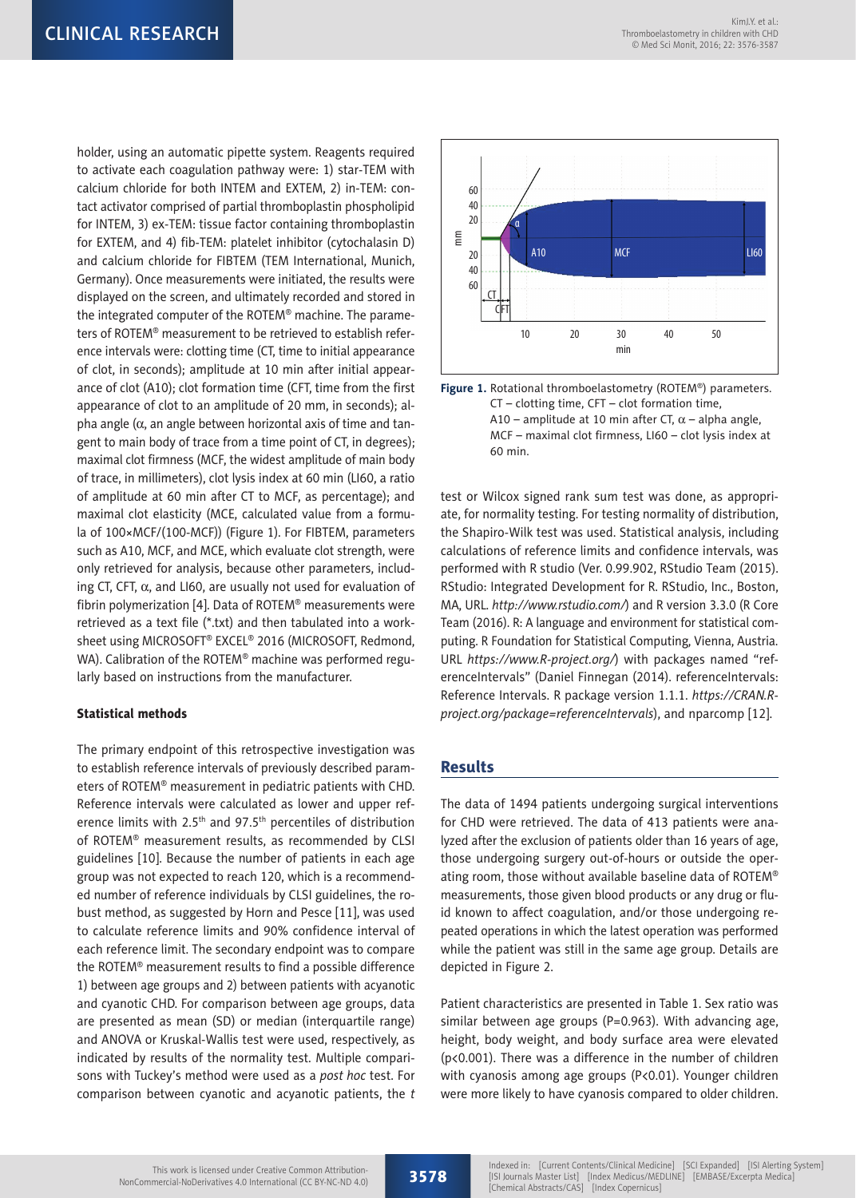holder, using an automatic pipette system. Reagents required to activate each coagulation pathway were: 1) star-TEM with calcium chloride for both INTEM and EXTEM, 2) in-TEM: contact activator comprised of partial thromboplastin phospholipid for INTEM, 3) ex-TEM: tissue factor containing thromboplastin for EXTEM, and 4) fib-TEM: platelet inhibitor (cytochalasin D) and calcium chloride for FIBTEM (TEM International, Munich, Germany). Once measurements were initiated, the results were displayed on the screen, and ultimately recorded and stored in the integrated computer of the ROTEM® machine. The parameters of ROTEM® measurement to be retrieved to establish reference intervals were: clotting time (CT, time to initial appearance of clot, in seconds); amplitude at 10 min after initial appearance of clot (A10); clot formation time (CFT, time from the first appearance of clot to an amplitude of 20 mm, in seconds); alpha angle  $(\alpha,$  an angle between horizontal axis of time and tangent to main body of trace from a time point of CT, in degrees); maximal clot firmness (MCF, the widest amplitude of main body of trace, in millimeters), clot lysis index at 60 min (LI60, a ratio of amplitude at 60 min after CT to MCF, as percentage); and maximal clot elasticity (MCE, calculated value from a formula of 100×MCF/(100-MCF)) (Figure 1). For FIBTEM, parameters such as A10, MCF, and MCE, which evaluate clot strength, were only retrieved for analysis, because other parameters, including CT, CFT,  $\alpha$ , and LI60, are usually not used for evaluation of fibrin polymerization [4]. Data of ROTEM® measurements were retrieved as a text file (\*.txt) and then tabulated into a worksheet using MICROSOFT® EXCEL® 2016 (MICROSOFT, Redmond, WA). Calibration of the ROTEM<sup>®</sup> machine was performed regularly based on instructions from the manufacturer.

### Statistical methods

The primary endpoint of this retrospective investigation was to establish reference intervals of previously described parameters of ROTEM® measurement in pediatric patients with CHD. Reference intervals were calculated as lower and upper reference limits with 2.5<sup>th</sup> and 97.5<sup>th</sup> percentiles of distribution of ROTEM® measurement results, as recommended by CLSI guidelines [10]. Because the number of patients in each age group was not expected to reach 120, which is a recommended number of reference individuals by CLSI guidelines, the robust method, as suggested by Horn and Pesce [11], was used to calculate reference limits and 90% confidence interval of each reference limit. The secondary endpoint was to compare the ROTEM® measurement results to find a possible difference 1) between age groups and 2) between patients with acyanotic and cyanotic CHD. For comparison between age groups, data are presented as mean (SD) or median (interquartile range) and ANOVA or Kruskal-Wallis test were used, respectively, as indicated by results of the normality test. Multiple comparisons with Tuckey's method were used as a *post hoc* test. For comparison between cyanotic and acyanotic patients, the *t* 





test or Wilcox signed rank sum test was done, as appropriate, for normality testing. For testing normality of distribution, the Shapiro-Wilk test was used. Statistical analysis, including calculations of reference limits and confidence intervals, was performed with R studio (Ver. 0.99.902, RStudio Team (2015). RStudio: Integrated Development for R. RStudio, Inc., Boston, MA, URL. *http://www.rstudio.com/*) and R version 3.3.0 (R Core Team (2016). R: A language and environment for statistical computing. R Foundation for Statistical Computing, Vienna, Austria. URL *https://www.R-project.org/*) with packages named "referenceIntervals" (Daniel Finnegan (2014). referenceIntervals: Reference Intervals. R package version 1.1.1. *https://CRAN.Rproject.org/package=referenceIntervals*), and nparcomp [12].

## Results

The data of 1494 patients undergoing surgical interventions for CHD were retrieved. The data of 413 patients were analyzed after the exclusion of patients older than 16 years of age, those undergoing surgery out-of-hours or outside the operating room, those without available baseline data of ROTEM® measurements, those given blood products or any drug or fluid known to affect coagulation, and/or those undergoing repeated operations in which the latest operation was performed while the patient was still in the same age group. Details are depicted in Figure 2.

Patient characteristics are presented in Table 1. Sex ratio was similar between age groups (P=0.963). With advancing age, height, body weight, and body surface area were elevated (p<0.001). There was a difference in the number of children with cyanosis among age groups (P<0.01). Younger children were more likely to have cyanosis compared to older children.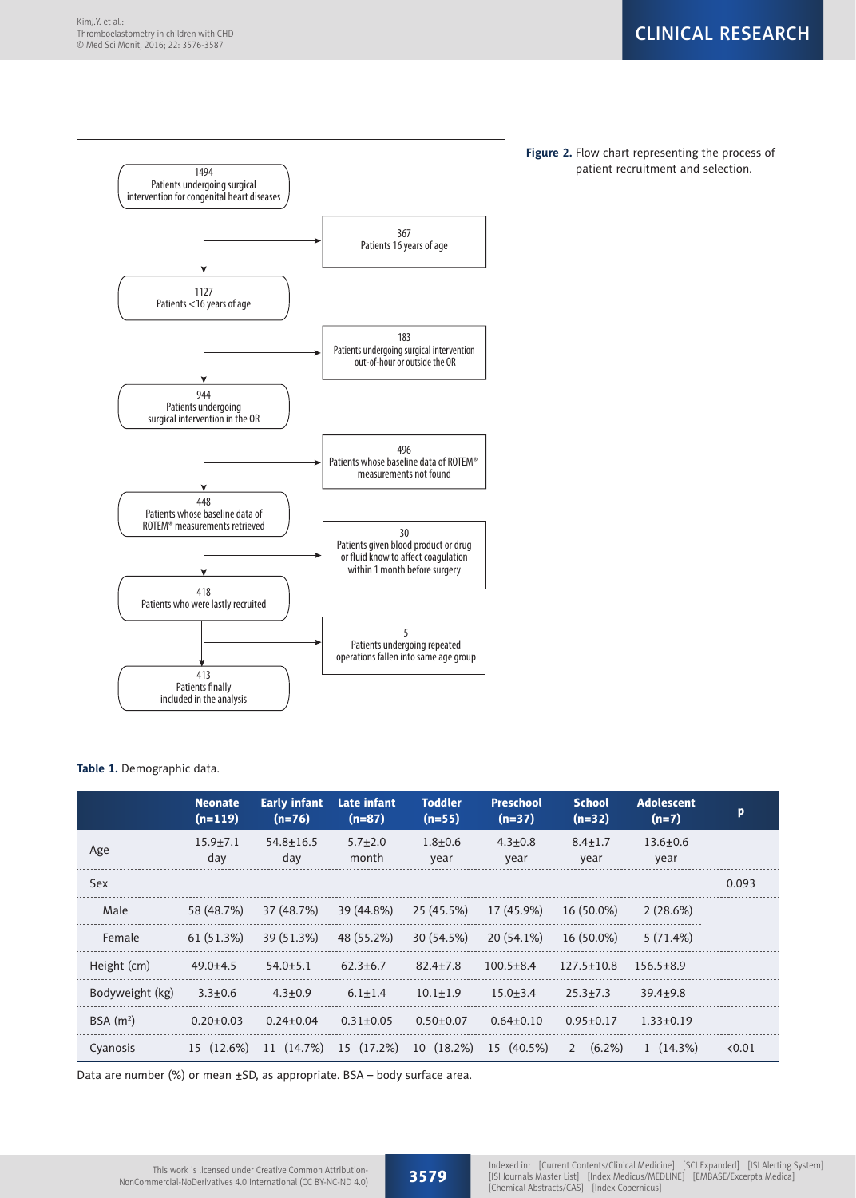

**Figure 2.** Flow chart representing the process of

| Table 1. Demographic data. |  |
|----------------------------|--|
|----------------------------|--|

|                      | <b>Neonate</b><br>$(n=119)$ | <b>Early infant</b><br>$(n=76)$ | Late infant<br>$(n=87)$ | <b>Toddler</b><br>$(n=55)$ | <b>Preschool</b><br>$(n=37)$ | <b>School</b><br>$(n=32)$ | <b>Adolescent</b><br>$(n=7)$ | P.     |
|----------------------|-----------------------------|---------------------------------|-------------------------|----------------------------|------------------------------|---------------------------|------------------------------|--------|
| Age                  | $15.9 + 7.1$<br>day         | $54.8 + 16.5$<br>day            | $5.7 + 2.0$<br>month    | $1.8 + 0.6$<br>year        | $4.3 + 0.8$<br>year          | $8.4 \pm 1.7$<br>year     | $13.6 + 0.6$<br>year         |        |
| <b>Sex</b>           |                             |                                 |                         |                            |                              |                           |                              | 0.093  |
| Male                 | 58 (48.7%)                  | 37 (48.7%)                      | 39 (44.8%)              | 25 (45.5%)                 | 17 (45.9%)                   | 16 (50.0%)                | 2(28.6%)                     |        |
| Female               | 61 (51.3%)                  | 39 (51.3%)                      | 48 (55.2%)              | 30 (54.5%)                 | 20 (54.1%)                   | 16 (50.0%)                | 5(71.4%)                     |        |
| Height (cm)          | $49.0+4.5$                  | $54.0 + 5.1$                    | $62.3 + 6.7$            | $82.4 + 7.8$               | $100.5 + 8.4$                | $127.5 \pm 10.8$          | $156.5 + 8.9$                |        |
| Bodyweight (kg)      | $3.3 + 0.6$                 | $4.3 + 0.9$                     | $6.1 \pm 1.4$           | $10.1 + 1.9$               | $15.0 + 3.4$                 | $25.3 + 7.3$              | $39.4 + 9.8$                 |        |
| BSA(m <sup>2</sup> ) | $0.20 + 0.03$               | $0.24 \pm 0.04$                 | $0.31 \pm 0.05$         | $0.50 + 0.07$              | $0.64 + 0.10$                | $0.95 \pm 0.17$           | $1.33 + 0.19$                |        |
| Cyanosis             | 15 (12.6%)                  | 11 (14.7%)                      | 15 (17.2%)              | 10 (18.2%)                 | 15 (40.5%)                   | $(6.2\%)$<br>2            | $1(14.3\%)$                  | < 0.01 |

Data are number (%) or mean ±SD, as appropriate. BSA – body surface area.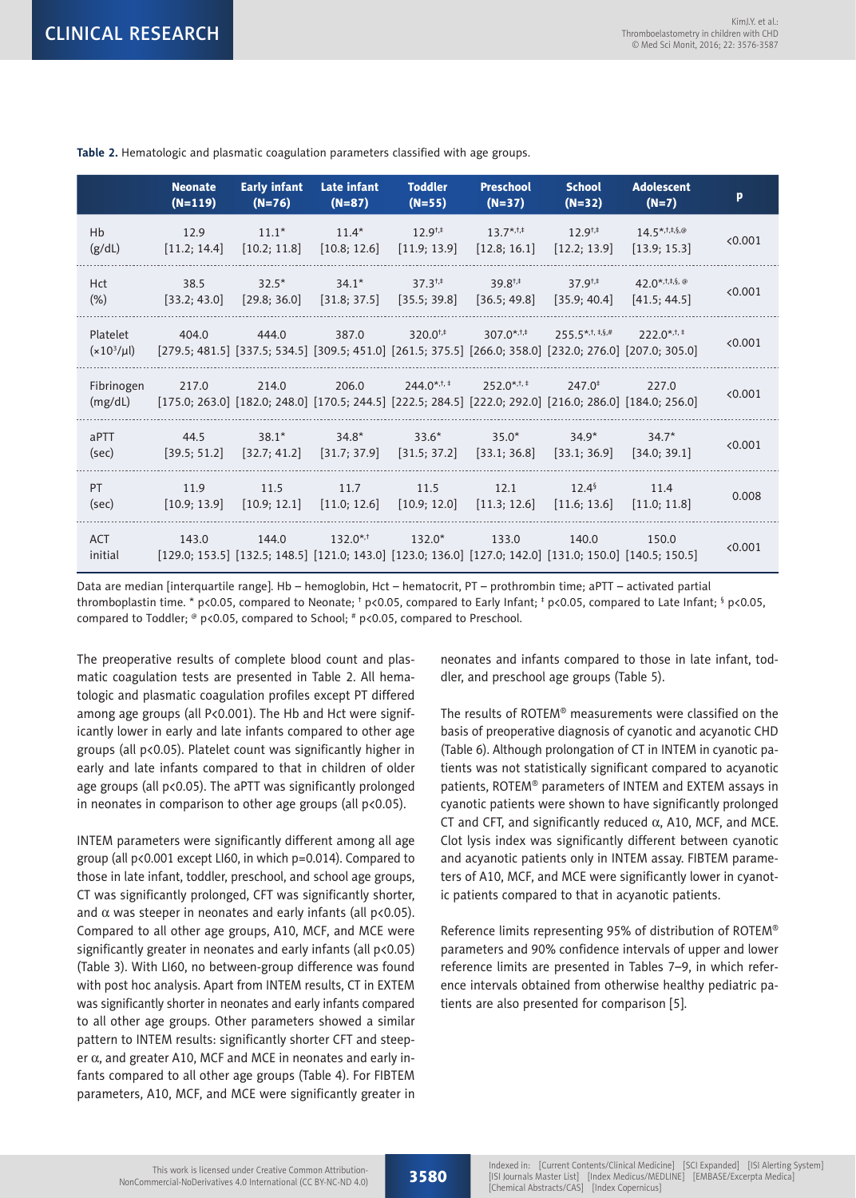|                             | <b>Neonate</b><br>$(N=119)$ | <b>Early infant</b><br>$(N=76)$ | Late infant<br>$(N=87)$ | <b>Toddler</b><br>$(N=55)$                                                                                                              | <b>Preschool</b><br>$(N=37)$ | <b>School</b><br>$(N=32)$     | <b>Adolescent</b><br>$(N=7)$ | p       |
|-----------------------------|-----------------------------|---------------------------------|-------------------------|-----------------------------------------------------------------------------------------------------------------------------------------|------------------------------|-------------------------------|------------------------------|---------|
| Hb                          | 12.9                        | $11.1*$                         | $11.4*$                 | $12.9^{+,}$                                                                                                                             | $13.7^{*,1,1}$               | $12.9^{+,}$                   | $14.5***$ , $5,8$ , $@$      | < 0.001 |
| (g/dL)                      | [11.2; 14.4]                | [10.2; 11.8]                    | [10.8; 12.6]            | [11.9; 13.9]                                                                                                                            | [12.8; 16.1]                 | [12.2; 13.9]                  | [13.9; 15.3]                 |         |
| <b>Hct</b>                  | 38.5                        | $32.5*$                         | $34.1*$                 | $37.3^{+,}$                                                                                                                             | $39.8^{+,}$                  | $37.9^{+,+}$                  | 42.0 <sup>*,1,‡,§, @</sup>   | < 0.001 |
| $(\%)$                      | [33.2; 43.0]                | [29.8:36.0]                     | [31.8; 37.5]            | [35.5; 39.8]                                                                                                                            | [36.5; 49.8]                 | [35.9:40.4]                   | [41.5: 44.5]                 |         |
| Platelet<br>$(x10^3/\mu l)$ | 404.0                       | 444.0                           | 387.0                   | $320.0^{+,+}$<br>$[279.5; 481.5]$ $[337.5; 534.5]$ $[309.5; 451.0]$ $[261.5; 375.5]$ $[266.0; 358.0]$ $[232.0; 276.0]$ $[207.0; 305.0]$ | 307.0 <sup>*,†,‡</sup>       | $255.5$ <sup>*,t, ‡,§,#</sup> | $222.0$ <sup>*,†,‡</sup>     | < 0.001 |
| Fibrinogen<br>(mg/dL)       | 217.0                       | 214.0                           | 206.0                   | $244.0$ <sup>*,t, ‡</sup><br>[175.0; 263.0] [182.0; 248.0] [170.5; 244.5] [222.5; 284.5] [222.0; 292.0] [216.0; 286.0] [184.0; 256.0]   | $252.0$ <sup>*,†,‡</sup>     | $247.0^{\ddagger}$            | 227.0                        | < 0.001 |
| aPTT                        | 44.5                        | $38.1*$                         | $34.8*$                 | $33.6*$                                                                                                                                 | $35.0*$                      | $34.9*$                       | $34.7*$                      | < 0.001 |
| (sec)                       | [39.5; 51.2]                | [32.7; 41.2]                    | [31.7; 37.9]            | [31.5; 37.2]                                                                                                                            | [33.1; 36.8]                 | [33.1; 36.9]                  | [34.0:39.1]                  |         |
| PT.                         | 11.9                        | 11.5                            | 11.7                    | 11.5                                                                                                                                    | 12.1                         | $12.4^{\frac{5}{2}}$          | 11.4                         | 0.008   |
| (sec)                       | [10.9; 13.9]                | [10.9; 12.1]                    | [11.0; 12.6]            | [10.9; 12.0]                                                                                                                            | [11.3; 12.6]                 | [11.6; 13.6]                  | [11.0:11.8]                  |         |
| <b>ACT</b><br>initial       | 143.0                       | 144.0                           | $132.0$ *,†             | $132.0*$<br>$[129.0; 153.5]$ $[132.5; 148.5]$ $[121.0; 143.0]$ $[123.0; 136.0]$ $[127.0; 142.0]$ $[131.0; 150.0]$ $[140.5; 150.5]$      | 133.0                        | 140.0                         | 150.0                        | < 0.001 |

**Table 2.** Hematologic and plasmatic coagulation parameters classified with age groups.

Data are median [interquartile range]. Hb – hemoglobin, Hct – hematocrit, PT – prothrombin time; aPTT – activated partial thromboplastin time. \* p<0.05, compared to Neonate; † p<0.05, compared to Early Infant; ‡ p<0.05, compared to Late Infant; § p<0.05, compared to Toddler;  $\textdegree$  p<0.05, compared to School;  $\textdegree$  p<0.05, compared to Preschool.

The preoperative results of complete blood count and plasmatic coagulation tests are presented in Table 2. All hematologic and plasmatic coagulation profiles except PT differed among age groups (all P<0.001). The Hb and Hct were significantly lower in early and late infants compared to other age groups (all p<0.05). Platelet count was significantly higher in early and late infants compared to that in children of older age groups (all p<0.05). The aPTT was significantly prolonged in neonates in comparison to other age groups (all  $p<0.05$ ).

INTEM parameters were significantly different among all age group (all p<0.001 except LI60, in which p=0.014). Compared to those in late infant, toddler, preschool, and school age groups, CT was significantly prolonged, CFT was significantly shorter, and  $\alpha$  was steeper in neonates and early infants (all p<0.05). Compared to all other age groups, A10, MCF, and MCE were significantly greater in neonates and early infants (all p<0.05) (Table 3). With LI60, no between-group difference was found with post hoc analysis. Apart from INTEM results, CT in EXTEM was significantly shorter in neonates and early infants compared to all other age groups. Other parameters showed a similar pattern to INTEM results: significantly shorter CFT and steeper  $\alpha$ , and greater A10, MCF and MCE in neonates and early infants compared to all other age groups (Table 4). For FIBTEM parameters, A10, MCF, and MCE were significantly greater in

neonates and infants compared to those in late infant, toddler, and preschool age groups (Table 5).

The results of ROTEM® measurements were classified on the basis of preoperative diagnosis of cyanotic and acyanotic CHD (Table 6). Although prolongation of CT in INTEM in cyanotic patients was not statistically significant compared to acyanotic patients, ROTEM® parameters of INTEM and EXTEM assays in cyanotic patients were shown to have significantly prolonged CT and CFT, and significantly reduced  $\alpha$ , A10, MCF, and MCE. Clot lysis index was significantly different between cyanotic and acyanotic patients only in INTEM assay. FIBTEM parameters of A10, MCF, and MCE were significantly lower in cyanotic patients compared to that in acyanotic patients.

Reference limits representing 95% of distribution of ROTEM® parameters and 90% confidence intervals of upper and lower reference limits are presented in Tables 7–9, in which reference intervals obtained from otherwise healthy pediatric patients are also presented for comparison [5].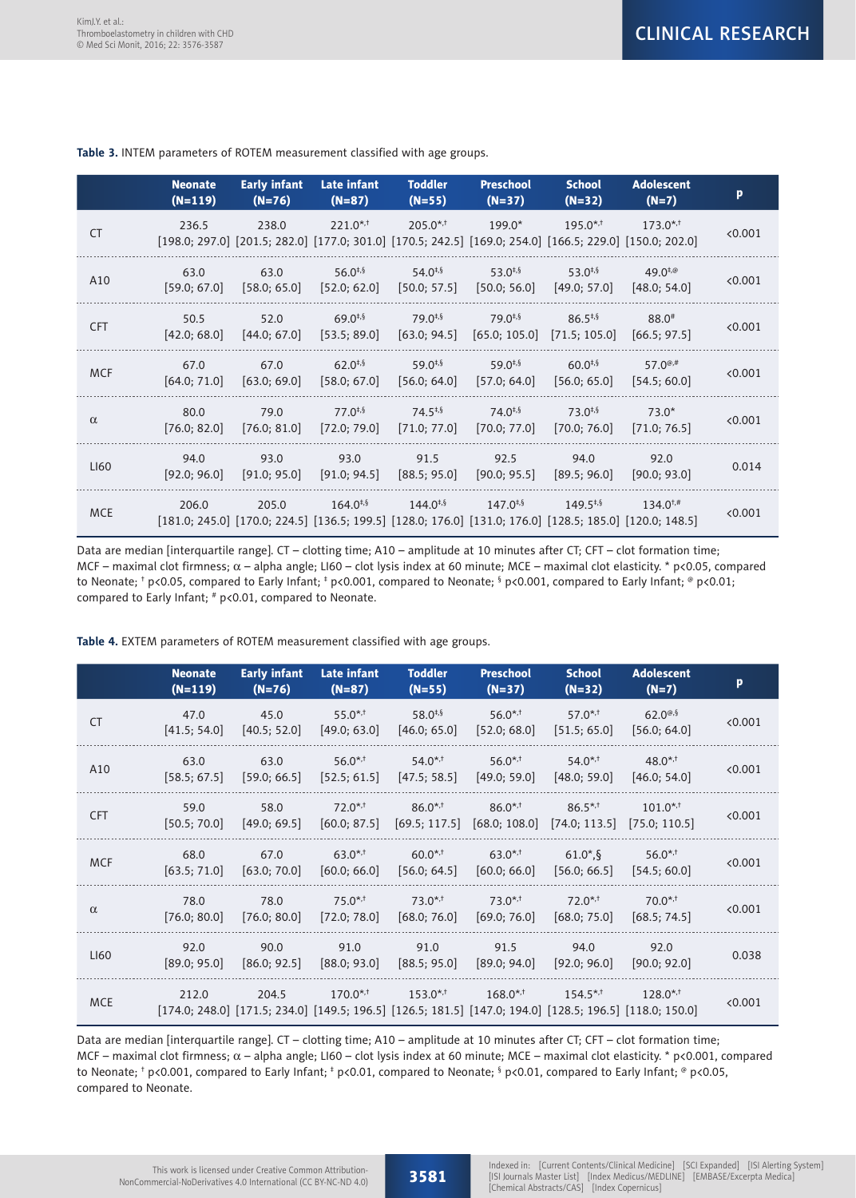|            | <b>Neonate</b><br>$(N=119)$ | <b>Early infant</b><br>$(N=76)$                                                                                                 | Late infant<br>$(N=87)$      | <b>Toddler</b><br>$(N=55)$   | <b>Preschool</b><br>$(N=37)$ | <b>School</b><br>$(N=32)$                     | <b>Adolescent</b><br>$(N=7)$                     | p               |
|------------|-----------------------------|---------------------------------------------------------------------------------------------------------------------------------|------------------------------|------------------------------|------------------------------|-----------------------------------------------|--------------------------------------------------|-----------------|
| <b>CT</b>  | 236.5                       | 238.0<br>$[198.0; 297.0]$ $[201.5; 282.0]$ $[177.0; 301.0]$ $[170.5; 242.5]$ $[169.0; 254.0]$ $[166.5; 229.0]$ $[150.0; 202.0]$ | $221.0^{*,+}$                | $205.0$ <sup>*,†</sup>       | $199.0*$                     | $195.0$ <sup>*,†</sup>                        | $173.0^{*,+}$                                    | < 0.001         |
| A10        | 63.0<br>[59.0; 67.0]        | 63.0<br>[58.0; 65.0]                                                                                                            | $56.0^{+,5}$<br>[52.0; 62.0] | $54.0^{+,5}$<br>[50.0; 57.5] | $53.0^{+,5}$<br>[50.0; 56.0] | $53.0^{+,5}$<br>[49.0; 57.0]                  | $49.0^{+, \circledcirc}$<br>[48.0; 54.0]         | < 0.001         |
| <b>CFT</b> | 50.5<br>[42.0; 68.0]        | 52.0<br>[44.0; 67.0]                                                                                                            | $69.0^{+,5}$<br>[53.5; 89.0] | $79.0^{+,5}$<br>[63.0; 94.5] | $79.0^{+,5}$                 | $86.5^{*,5}$<br>$[65.0; 105.0]$ [71.5; 105.0] | $88.0*$<br>[66.5; 97.5]                          | < 0.001         |
| <b>MCF</b> | 67.0<br>[64.0; 71.0]        | 67.0<br>[63.0; 69.0]                                                                                                            | $62.0^{+,5}$<br>[58.0; 67.0] | $59.0^{+,5}$<br>[56.0; 64.0] | $59.0^{+,5}$<br>[57.0; 64.0] | $60.0^{+,5}$<br>[56.0; 65.0]                  | 57.0 <sup><math>@,#</math></sup><br>[54.5; 60.0] | $\langle 0.001$ |
| $\alpha$   | 80.0<br>[76.0; 82.0]        | 79.0<br>[76.0; 81.0]                                                                                                            | $77.0^{4.5}$<br>[72.0; 79.0] | $74.5^{*,5}$<br>[71.0; 77.0] | $74.0^{+,5}$<br>[70.0; 77.0] | $73.0^{+,5}$<br>[70.0; 76.0]                  | $73.0*$<br>[71.0; 76.5]                          | $\langle 0.001$ |
| LI60       | 94.0<br>[92.0; 96.0]        | 93.0<br>[91.0; 95.0]                                                                                                            | 93.0<br>[91.0; 94.5]         | 91.5<br>[88.5; 95.0]         | 92.5<br>[90.0; 95.5]         | 94.0<br>[89.5; 96.0]                          | 92.0<br>[90.0; 93.0]                             | 0.014           |
| <b>MCE</b> | 206.0                       | 205.0<br>$[181.0; 245.0]$ $[170.0; 224.5]$ $[136.5; 199.5]$ $[128.0; 176.0]$ $[131.0; 176.0]$ $[128.5; 185.0]$ $[120.0; 148.5]$ | $164.0^{4.5}$                | $144.0^{+,5}$                | $147.0^{+,5}$                | $149.5^{+,5}$                                 | $134.0^{+,#}$                                    | < 0.001         |

**Table 3.** INTEM parameters of ROTEM measurement classified with age groups.

Data are median [interquartile range]. CT – clotting time; A10 – amplitude at 10 minutes after CT; CFT – clot formation time; MCF – maximal clot firmness;  $\alpha$  – alpha angle; LI60 – clot lysis index at 60 minute; MCE – maximal clot elasticity. \* p<0.05, compared to Neonate; † p<0.05, compared to Early Infant; † p<0.001, compared to Neonate; § p<0.001, compared to Early Infant; ® p<0.01; compared to Early Infant; # p<0.01, compared to Neonate.

**Table 4.** EXTEM parameters of ROTEM measurement classified with age groups.

|            | <b>Neonate</b><br>$(N=119)$ | <b>Early infant</b><br>$(N=76)$ | Late infant<br>$(N=87)$               | <b>Toddler</b><br>$(N=55)$                                                                                                            | <b>Preschool</b><br>$(N=37)$        | <b>School</b><br>$(N=32)$             | <b>Adolescent</b><br>$(N=7)$            | p       |
|------------|-----------------------------|---------------------------------|---------------------------------------|---------------------------------------------------------------------------------------------------------------------------------------|-------------------------------------|---------------------------------------|-----------------------------------------|---------|
| <b>CT</b>  | 47.0<br>[41.5; 54.0]        | 45.0<br>[40.5; 52.0]            | $55.0$ *,†<br>[49.0; 63.0]            | 58.0 <sup>‡,§</sup><br>[46.0; 65.0]                                                                                                   | 56.0 <sup>*,†</sup><br>[52.0; 68.0] | $57.0^{*,+}$<br>[51.5; 65.0]          | $62.0^{\circ.5}$<br>[56.0; 64.0]        | < 0.001 |
| A10        | 63.0<br>[58.5; 67.5]        | 63.0<br>[59.0; 66.5]            | $56.0$ *,†<br>[52.5; 61.5]            | $54.0$ <sup>*,†</sup><br>[47.5; 58.5]                                                                                                 | 56.0 <sup>*,†</sup><br>[49.0; 59.0] | $54.0$ <sup>*,†</sup><br>[48.0; 59.0] | $48.0^{*,+}$<br>[46.0; 54.0]            | < 0.001 |
| <b>CFT</b> | 59.0<br>[50.5; 70.0]        | 58.0<br>[49.0; 69.5]            | $72.0$ <sup>*,†</sup><br>[60.0; 87.5] | $86.0$ <sup>*,†</sup><br>[69.5; 117.5]                                                                                                | $86.0$ *,†<br>[68.0; 108.0]         | $86.5^{*,+}$<br>[74.0; 113.5]         | $101.0$ <sup>*,†</sup><br>[75.0; 110.5] | < 0.001 |
| <b>MCF</b> | 68.0<br>[63.5; 71.0]        | 67.0<br>[63.0; 70.0]            | $63.0$ *,†<br>[60.0; 66.0]            | $60.0$ <sup>*,†</sup><br>[56.0; 64.5]                                                                                                 | $63.0$ *,†<br>[60.0; 66.0]          | $61.0^*$ .<br>[56.0; 66.5]            | $56.0$ *,†<br>[54.5; 60.0]              | < 0.001 |
| $\alpha$   | 78.0<br>[76.0; 80.0]        | 78.0<br>[76.0; 80.0]            | $75.0$ <sup>*,†</sup><br>[72.0; 78.0] | $73.0^{*,+}$<br>[68.0; 76.0]                                                                                                          | $73.0^{*,+}$<br>[69.0; 76.0]        | $72.0$ <sup>*,†</sup><br>[68.0; 75.0] | $70.0^{*,+}$<br>[68.5; 74.5]            | < 0.001 |
| LI60       | 92.0<br>[89.0; 95.0]        | 90.0<br>[86.0; 92.5]            | 91.0<br>[88.0; 93.0]                  | 91.0<br>[88.5; 95.0]                                                                                                                  | 91.5<br>[89.0; 94.0]                | 94.0<br>[92.0; 96.0]                  | 92.0<br>[90.0; 92.0]                    | 0.038   |
| <b>MCE</b> | 212.0                       | 204.5                           | $170.0^{*,+}$                         | $153.0$ *,†<br>$[174.0; 248.0]$ $[171.5; 234.0]$ $[149.5; 196.5]$ $[126.5; 181.5]$ $[147.0; 194.0]$ $[128.5; 196.5]$ $[118.0; 150.0]$ | $168.0$ *,†                         | $154.5^{*,+}$                         | $128.0^{*,+}$                           | < 0.001 |

Data are median [interquartile range]. CT – clotting time; A10 – amplitude at 10 minutes after CT; CFT – clot formation time; MCF – maximal clot firmness;  $\alpha$  – alpha angle; LI60 – clot lysis index at 60 minute; MCE – maximal clot elasticity. \* p<0.001, compared to Neonate; † p<0.001, compared to Early Infant; ‡ p<0.01, compared to Neonate; § p<0.01, compared to Early Infant; ® p<0.05, compared to Neonate.

3581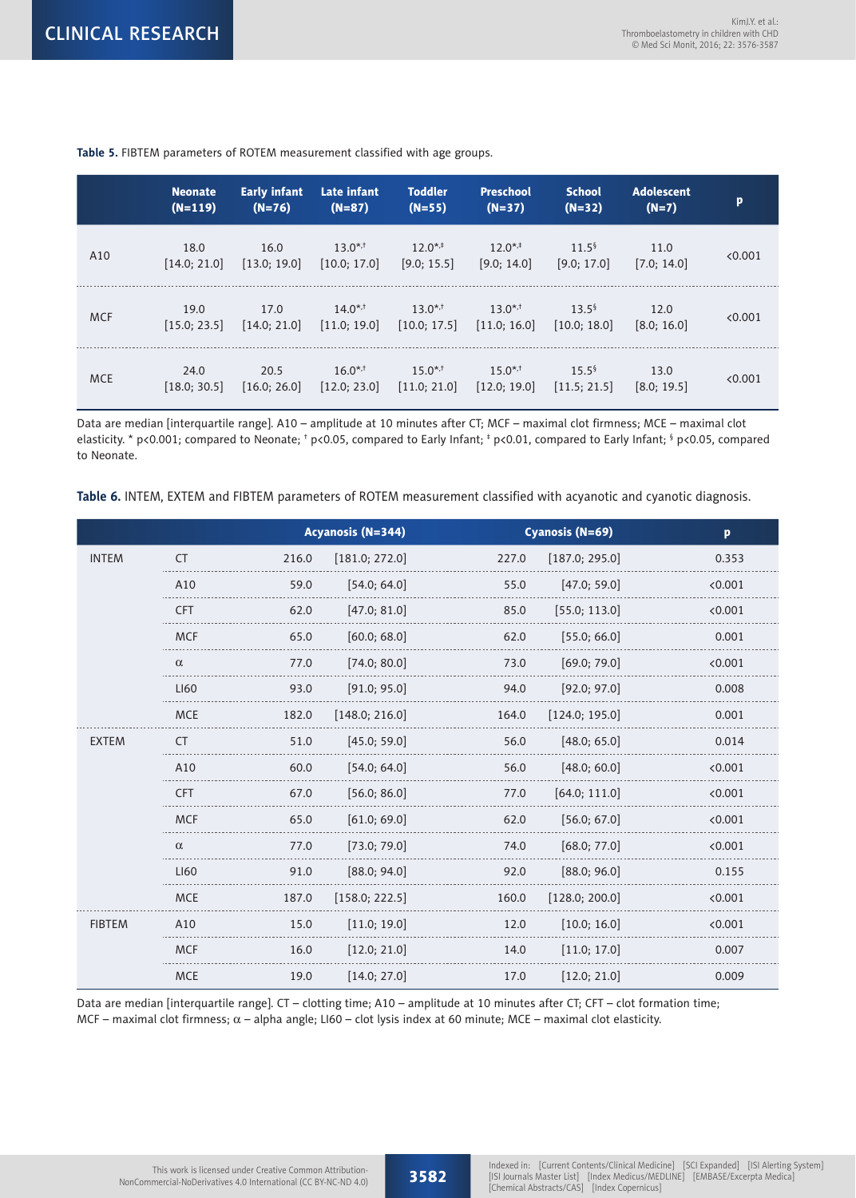|            | <b>Neonate</b><br>$(N=119)$ | <b>Early infant</b><br>$(N=76)$ | Late infant<br>$(N=87)$      | <b>Toddler</b><br>$(N=55)$   | <b>Preschool</b><br>$(N=37)$          | <b>School</b><br>$(N=32)$            | <b>Adolescent</b><br>$(N=7)$ | p       |
|------------|-----------------------------|---------------------------------|------------------------------|------------------------------|---------------------------------------|--------------------------------------|------------------------------|---------|
| A10        | 18.0<br>[14.0; 21.0]        | 16.0<br>[13.0; 19.0]            | $13.0^{*,+}$<br>[10.0; 17.0] | $12.0^{*,+}$<br>[9.0; 15.5]  | $12.0^{*,+}$<br>[9.0; 14.0]           | 11.5 <sup>5</sup><br>[9.0; 17.0]     | 11.0<br>[7.0; 14.0]          | < 0.001 |
| <b>MCF</b> | 19.0<br>[15.0; 23.5]        | 17.0<br>[14.0; 21.0]            | $14.0^{*,+}$<br>[11.0; 19.0] | $13.0^{*,+}$<br>[10.0; 17.5] | $13.0^{*,+}$<br>[11.0; 16.0]          | $13.5^{\frac{5}{2}}$<br>[10.0; 18.0] | 12.0<br>[8.0; 16.0]          | < 0.001 |
| <b>MCE</b> | 24.0<br>[18.0; 30.5]        | 20.5<br>[16.0; 26.0]            | $16.0^{*,+}$<br>[12.0; 23.0] | $15.0^{*,+}$<br>[11.0; 21.0] | $15.0$ <sup>*,†</sup><br>[12.0; 19.0] | $15.5^{\frac{5}{2}}$<br>[11.5; 21.5] | 13.0<br>[8.0; 19.5]          | < 0.001 |

**Table 5.** FIBTEM parameters of ROTEM measurement classified with age groups.

Data are median [interquartile range]. A10 – amplitude at 10 minutes after CT; MCF – maximal clot firmness; MCE – maximal clot elasticity. \* p<0.001; compared to Neonate; † p<0.05, compared to Early Infant; ‡ p<0.01, compared to Early Infant; § p<0.05, compared to Neonate.

**Table 6.** INTEM, EXTEM and FIBTEM parameters of ROTEM measurement classified with acyanotic and cyanotic diagnosis.

|               |            | <b>Acyanosis (N=344)</b> |       | Cyanosis (N=69) | p       |
|---------------|------------|--------------------------|-------|-----------------|---------|
| <b>INTEM</b>  | <b>CT</b>  | 216.0<br>[181.0; 272.0]  | 227.0 | [187.0; 295.0]  | 0.353   |
|               | A10        | 59.0<br>[54.0; 64.0]     | 55.0  | [47.0; 59.0]    | < 0.001 |
|               | <b>CFT</b> | 62.0<br>[47.0; 81.0]     | 85.0  | [55.0; 113.0]   | < 0.001 |
|               | <b>MCF</b> | 65.0<br>[60.0; 68.0]     | 62.0  | [55.0; 66.0]    | 0.001   |
|               | $\alpha$   | 77.0<br>[74.0; 80.0]     | 73.0  | [69.0; 79.0]    | < 0.001 |
|               | LI60       | 93.0<br>[91.0; 95.0]     | 94.0  | [92.0; 97.0]    | 0.008   |
|               | <b>MCE</b> | 182.0<br>[148.0; 216.0]  | 164.0 | [124.0; 195.0]  | 0.001   |
| <b>EXTEM</b>  | СT         | 51.0<br>[45.0; 59.0]     | 56.0  | [48.0; 65.0]    | 0.014   |
|               | A10        | 60.0<br>[54.0; 64.0]     | 56.0  | [48.0; 60.0]    | < 0.001 |
|               | <b>CFT</b> | 67.0<br>[56.0; 86.0]     | 77.0  | [64.0; 111.0]   | < 0.001 |
|               | <b>MCF</b> | 65.0<br>[61.0; 69.0]     | 62.0  | [56.0; 67.0]    | < 0.001 |
|               | $\alpha$   | 77.0<br>[73.0; 79.0]     | 74.0  | [68.0; 77.0]    | < 0.001 |
|               | LI60       | 91.0<br>[88.0; 94.0]     | 92.0  | [88.0; 96.0]    | 0.155   |
|               | <b>MCE</b> | 187.0<br>[158.0; 222.5]  | 160.0 | [128.0; 200.0]  | < 0.001 |
| <b>FIBTEM</b> | A10        | 15.0<br>[11.0; 19.0]     | 12.0  | [10.0; 16.0]    | < 0.001 |
|               | <b>MCF</b> | 16.0<br>[12.0; 21.0]     | 14.0  | [11.0; 17.0]    | 0.007   |
|               | <b>MCE</b> | 19.0<br>[14.0; 27.0]     | 17.0  | [12.0; 21.0]    | 0.009   |

Data are median [interquartile range]. CT – clotting time; A10 – amplitude at 10 minutes after CT; CFT – clot formation time; MCF – maximal clot firmness;  $\alpha$  – alpha angle; LI60 – clot lysis index at 60 minute; MCE – maximal clot elasticity.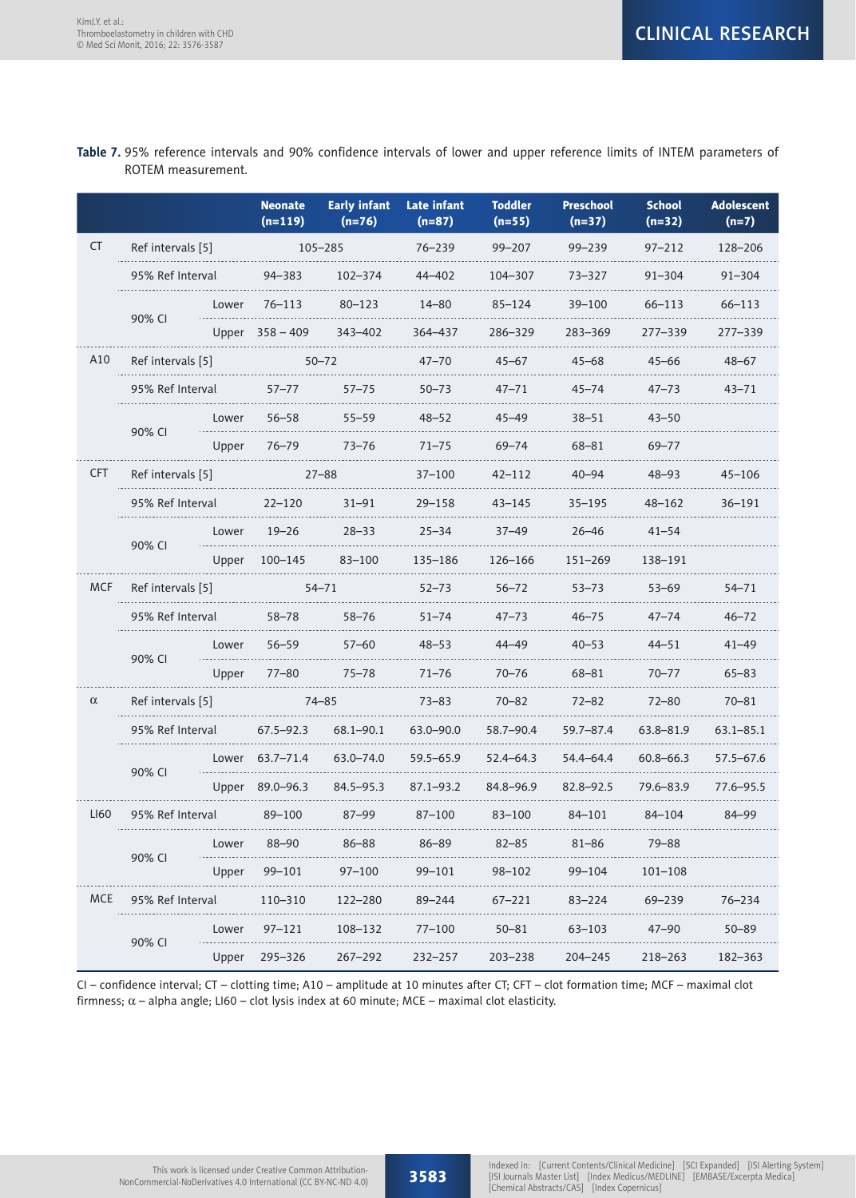# **Table 7.** 95% reference intervals and 90% confidence intervals of lower and upper reference limits of INTEM parameters of ROTEM measurement.

|            |                   |       | <b>Neonate</b><br>$(n=119)$ | <b>Early infant</b><br>$(n=76)$ | <b>Late infant</b><br>$(n=87)$ | <b>Toddler</b><br>$(n=55)$ | <b>Preschool</b><br>$(n=37)$ | <b>School</b><br>$(n=32)$ | <b>Adolescent</b><br>$(n=7)$ |
|------------|-------------------|-------|-----------------------------|---------------------------------|--------------------------------|----------------------------|------------------------------|---------------------------|------------------------------|
| <b>CT</b>  | Ref intervals [5] |       |                             | $105 - 285$                     | $76 - 239$                     | $99 - 207$                 | $99 - 239$                   | $97 - 212$                | 128-206                      |
|            | 95% Ref Interval  |       | $94 - 383$                  | $102 - 374$                     | 44-402                         | 104-307                    | 73-327                       | $91 - 304$                | $91 - 304$                   |
|            | 90% CI            | Lower | $76 - 113$                  | $80 - 123$                      | $14 - 80$                      | $85 - 124$                 | 39-100                       | 66-113                    | $66 - 113$                   |
|            |                   |       | Upper 358 - 409             | 343-402                         | 364-437                        | 286-329                    | 283-369                      | 277–339                   | 277–339                      |
| A10        | Ref intervals [5] |       |                             | $50 - 72$                       | $47 - 70$                      | $45 - 67$                  | $45 - 68$                    | $45 - 66$                 | $48 - 67$                    |
|            | 95% Ref Interval  |       | $57 - 77$                   | $57 - 75$                       | $50 - 73$                      | $47 - 71$                  | $45 - 74$                    | $47 - 73$                 | $43 - 71$                    |
|            | 90% CI            | Lower | $56 - 58$                   | $55 - 59$                       | $48 - 52$                      | $45 - 49$                  | $38 - 51$                    | $43 - 50$                 |                              |
|            |                   | Upper | $76 - 79$                   | $73 - 76$                       | $71 - 75$                      | $69 - 74$                  | 68-81                        | $69 - 77$                 |                              |
| <b>CFT</b> | Ref intervals [5] |       |                             | $27 - 88$                       | $37 - 100$                     | 42–112                     | $40 - 94$                    | $48 - 93$                 | $45 - 106$                   |
|            | 95% Ref Interval  |       | $22 - 120$                  | $31 - 91$                       | $29 - 158$                     | $43 - 145$                 | $35 - 195$                   | 48-162                    | $36 - 191$                   |
|            |                   | Lower | $19 - 26$                   | $28 - 33$                       | $25 - 34$                      | $37 - 49$                  | $26 - 46$                    | $41 - 54$                 |                              |
|            | 90% CI            | Upper | 100-145                     | 83–100                          | 135-186                        | 126-166                    | $151 - 269$                  | 138-191                   |                              |
| <b>MCF</b> | Ref intervals [5] |       |                             | $54 - 71$                       | $52 - 73$                      | $56 - 72$                  | $53 - 73$                    | $53 - 69$                 | 54-71                        |
|            | 95% Ref Interval  |       | $58 - 78$                   | $58 - 76$                       | $51 - 74$                      | $47 - 73$                  | $46 - 75$                    | $47 - 74$                 | $46 - 72$                    |
|            | 90% CI            | Lower | $56 - 59$                   | $57 - 60$                       | $48 - 53$                      | 44-49                      | $40 - 53$                    | $44 - 51$                 | $41 - 49$                    |
|            |                   | Upper | $77 - 80$                   | $75 - 78$                       | $71 - 76$                      | 70–76                      | 68-81                        | $70 - 77$                 | $65 - 83$                    |
| $\alpha$   | Ref intervals [5] |       |                             | $74 - 85$                       | $73 - 83$                      | $70 - 82$                  | $72 - 82$                    | $72 - 80$                 | $70 - 81$                    |
|            | 95% Ref Interval  |       | $67.5 - 92.3$               | $68.1 - 90.1$                   | 63.0-90.0                      | 58.7-90.4                  | $59.7 - 87.4$                | 63.8-81.9                 | 63.1–85.1                    |
|            | 90% CI            | Lower | 63.7-71.4                   | 63.0-74.0                       | 59.5-65.9                      | $52.4 - 64.3$              | 54.4-64.4                    | $60.8 - 66.3$             | 57.5–67.6                    |
|            |                   | Upper | $89.0 - 96.3$               | $84.5 - 95.3$                   | 87.1-93.2                      | 84.8-96.9                  | $82.8 - 92.5$                | 79.6-83.9                 | 77.6-95.5                    |
| LI60       | 95% Ref Interval  |       | 89-100                      | $87 - 99$                       | $87 - 100$                     | 83-100                     | 84-101                       | 84-104                    | 84-99                        |
|            |                   | Lower | $88 - 90$                   | 86-88                           | $86 - 89$                      | $82 - 85$                  | $81 - 86$                    | 79-88                     |                              |
|            | 90% CI            | Upper | 99-101                      | 97–100                          | 99-101                         | 98-102                     | 99-104                       | $101 - 108$               |                              |
| <b>MCE</b> | 95% Ref Interval  |       | 110-310                     | 122-280                         | 89-244                         | $67 - 221$                 | 83-224                       | 69-239                    | $76 - 234$                   |
|            |                   | Lower | $97 - 121$                  | 108-132                         | $77 - 100$                     | $50 - 81$                  | 63-103                       | $47 - 90$                 | $50 - 89$                    |
|            | 90% CI            | Upper | 295-326                     | $267 - 292$                     | $232 - 257$                    | $203 - 238$                | $204 - 245$                  | 218-263                   | 182-363                      |

CI – confidence interval; CT – clotting time; A10 – amplitude at 10 minutes after CT; CFT – clot formation time; MCF – maximal clot firmness;  $\alpha$  – alpha angle; LI60 – clot lysis index at 60 minute; MCE – maximal clot elasticity.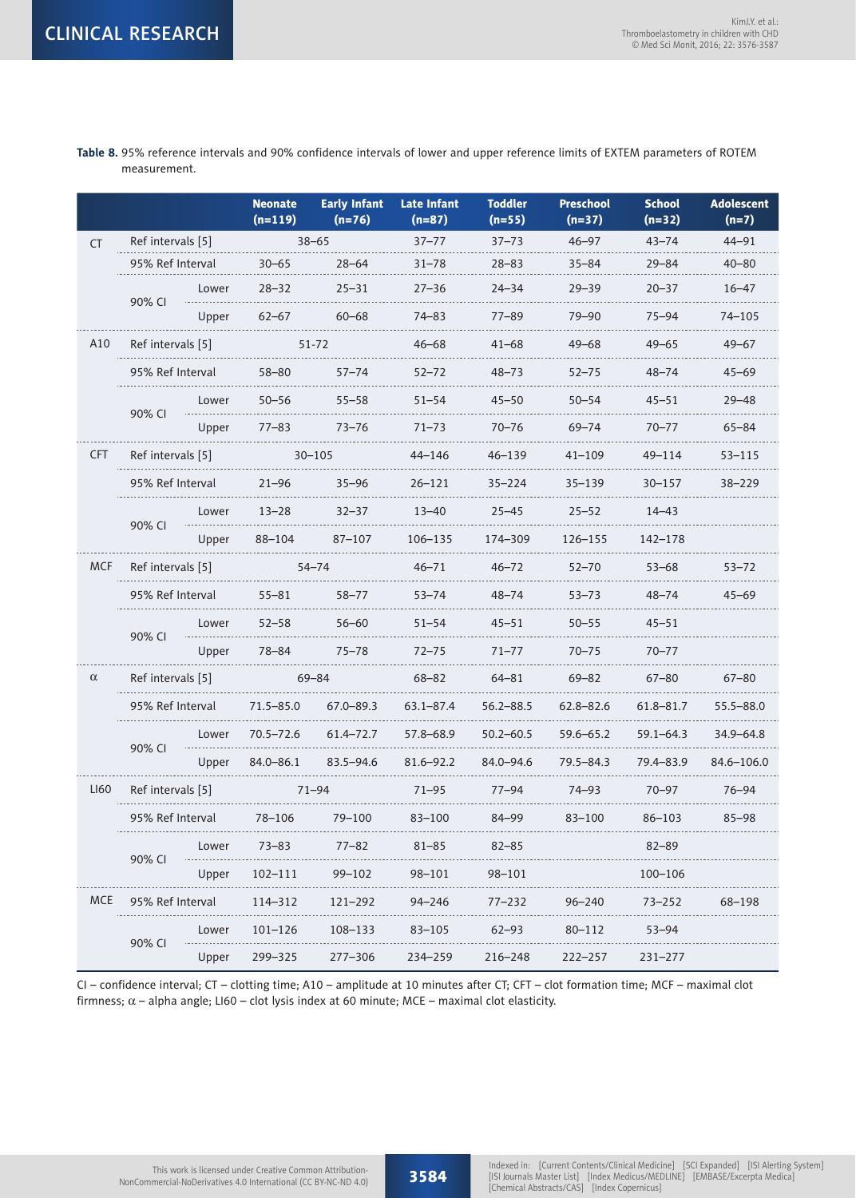|            |                   |       | <b>Neonate</b><br>$(n=119)$ | <b>Early Infant</b><br>$(n=76)$ | <b>Late Infant</b><br>$(n=87)$ | <b>Toddler</b><br>$(n=55)$ | <b>Preschool</b><br>$(n=37)$ | <b>School</b><br>$(n=32)$ | <b>Adolescent</b><br>$(n=7)$ |
|------------|-------------------|-------|-----------------------------|---------------------------------|--------------------------------|----------------------------|------------------------------|---------------------------|------------------------------|
| <b>CT</b>  | Ref intervals [5] |       |                             | $38 - 65$                       | $37 - 77$                      | $37 - 73$                  | $46 - 97$                    | $43 - 74$                 | $44 - 91$                    |
|            | 95% Ref Interval  |       | $30 - 65$                   | $28 - 64$                       | $31 - 78$                      | $28 - 83$                  | $35 - 84$                    | $29 - 84$                 | $40 - 80$                    |
|            | 90% CI            | Lower | $28 - 32$                   | $25 - 31$                       | $27 - 36$                      | $24 - 34$                  | $29 - 39$                    | $20 - 37$                 | $16 - 47$                    |
|            |                   | Upper | $62 - 67$                   | $60 - 68$                       | 74-83                          | $77 - 89$                  | $79 - 90$                    | $75 - 94$                 | 74-105                       |
| A10        | Ref intervals [5] |       |                             | 51-72                           | $46 - 68$                      | $41 - 68$                  | $49 - 68$                    | $49 - 65$                 | $49 - 67$                    |
|            | 95% Ref Interval  |       | $58 - 80$                   | $57 - 74$                       | 52–72                          | $48 - 73$                  | $52 - 75$                    | $48 - 74$                 | 45–69                        |
|            | 90% CI            | Lower | $50 - 56$                   | $55 - 58$                       | $51 - 54$                      | $45 - 50$                  | $50 - 54$                    | $45 - 51$                 | $29 - 48$                    |
|            |                   | Upper | $77 - 83$                   | $73 - 76$                       | $71 - 73$                      | $70 - 76$                  | $69 - 74$                    | $70 - 77$                 | $65 - 84$                    |
| <b>CFT</b> | Ref intervals [5] |       |                             | $30 - 105$                      | 44-146                         | 46-139                     | 41–109                       | 49–114                    | 53-115                       |
|            | 95% Ref Interval  |       | $21 - 96$                   | $35 - 96$                       | $26 - 121$                     | $35 - 224$                 | $35 - 139$                   | 30-157                    | $38 - 229$                   |
|            | 90% CI            | Lower | $13 - 28$                   | $32 - 37$                       | $13 - 40$                      | $25 - 45$                  | $25 - 52$                    | $14 - 43$                 |                              |
|            |                   | Upper | 88-104                      | $87 - 107$                      | 106-135                        | 174-309                    | 126–155                      | 142-178                   |                              |
| <b>MCF</b> | Ref intervals [5] |       |                             | $54 - 74$                       | $46 - 71$                      | $46 - 72$                  | $52 - 70$                    | $53 - 68$                 | $53 - 72$                    |
|            | 95% Ref Interval  |       | $55 - 81$                   | $58 - 77$                       | $53 - 74$                      | $48 - 74$                  | $53 - 73$                    | $48 - 74$                 | $45 - 69$                    |
|            | 90% CI            | Lower | $52 - 58$                   | 56-60                           | 51–54                          | $45 - 51$                  | $50 - 55$                    | $45 - 51$                 |                              |
|            |                   | Upper | $78 - 84$                   | $75 - 78$                       | $72 - 75$                      | $71 - 77$                  | $70 - 75$                    | $70 - 77$                 |                              |
| $\alpha$   | Ref intervals [5] |       | 69-84                       |                                 | $68 - 82$                      | $64 - 81$                  | $69 - 82$                    | $67 - 80$                 | $67 - 80$                    |
|            | 95% Ref Interval  |       | 71.5–85.0                   | $67.0 - 89.3$                   | 63.1–87.4                      | 56.2–88.5                  | $62.8 - 82.6$                | 61.8–81.7                 | 55.5-88.0                    |
|            | 90% CI            | Lower | $70.5 - 72.6$               | 61.4-72.7                       | 57.8-68.9                      | $50.2 - 60.5$              | $59.6 - 65.2$                | $59.1 - 64.3$             | 34.9-64.8                    |
|            |                   | Upper | $84.0 - 86.1$               | $83.5 - 94.6$                   | 81.6-92.2                      | 84.0-94.6                  | $79.5 - 84.3$                | 79.4-83.9                 | 84.6-106.0                   |
| LI60       | Ref intervals [5] |       |                             | $71 - 94$                       | 71–95                          | $77 - 94$                  | $74 - 93$                    | $70 - 97$                 | 76–94                        |
|            | 95% Ref Interval  |       | 78-106                      | 79-100                          | 83-100                         | 84-99                      | 83-100                       | 86-103                    | $85 - 98$                    |
|            | 90% CI            | Lower | $73 - 83$                   | $77 - 82$                       | $81 - 85$                      | $82 - 85$                  |                              | $82 - 89$                 |                              |
|            |                   | Upper | $102 - 111$                 | 99-102                          | 98-101                         | 98-101                     |                              | 100-106                   |                              |
| <b>MCE</b> | 95% Ref Interval  |       | 114-312                     | 121-292                         | $94 - 246$                     | $77 - 232$                 | $96 - 240$                   | 73-252                    | 68-198                       |
|            | Lower<br>90% CI   |       | $101 - 126$                 | 108-133                         | $83 - 105$                     | $62 - 93$                  | 80-112                       | $53 - 94$                 |                              |
|            |                   | Upper | 299-325                     | 277-306                         | 234-259                        | 216-248                    | 222-257                      | $231 - 277$               |                              |

**Table 8.** 95% reference intervals and 90% confidence intervals of lower and upper reference limits of EXTEM parameters of ROTEM measurement.

CI – confidence interval; CT – clotting time; A10 – amplitude at 10 minutes after CT; CFT – clot formation time; MCF – maximal clot firmness;  $\alpha$  – alpha angle; LI60 – clot lysis index at 60 minute; MCE – maximal clot elasticity.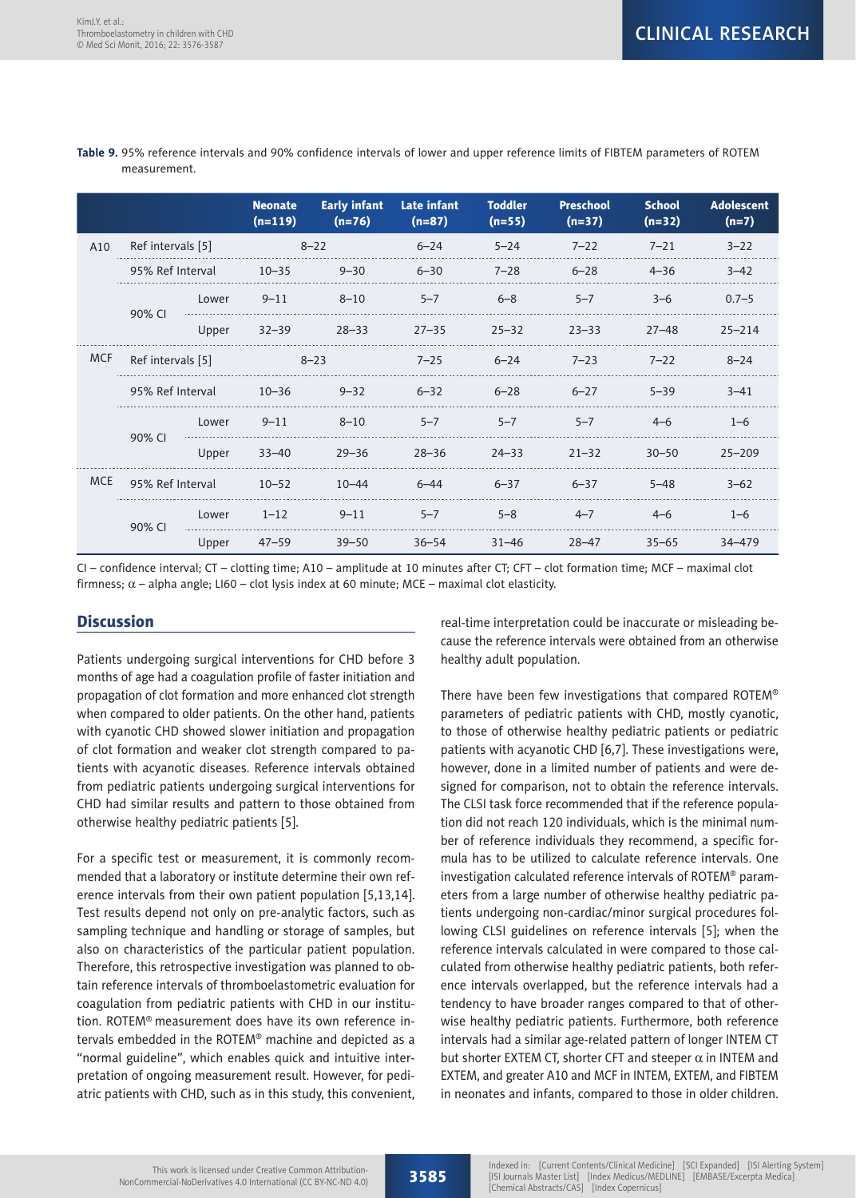|            |                   |       | <b>Neonate</b><br>$(n=119)$ | <b>Early infant</b><br>$(n=76)$ | <b>Late infant</b><br>$(n=87)$ | <b>Toddler</b><br>$(n=55)$ | <b>Preschool</b><br>$(n=37)$ | <b>School</b><br>$(n=32)$ | <b>Adolescent</b><br>$(n=7)$ |
|------------|-------------------|-------|-----------------------------|---------------------------------|--------------------------------|----------------------------|------------------------------|---------------------------|------------------------------|
| A10        | Ref intervals [5] |       |                             | $8 - 22$                        | $6 - 24$                       | $5 - 24$                   | $7 - 22$                     | $7 - 21$                  | $3 - 22$                     |
|            | 95% Ref Interval  |       | $10 - 35$                   | $9 - 30$                        | $6 - 30$                       | $7 - 28$                   | $6 - 28$                     | $4 - 36$                  | $3 - 42$                     |
|            | 90% CI            | Lower | $9 - 11$                    | $8 - 10$                        | $5 - 7$                        | $6 - 8$                    | $5 - 7$                      | $3 - 6$                   | $0.7 - 5$                    |
|            |                   | Upper | $32 - 39$                   | $28 - 33$                       | $27 - 35$                      | $25 - 32$                  | $23 - 33$                    | $27 - 48$                 | $25 - 214$                   |
| <b>MCF</b> | Ref intervals [5] |       |                             | $8 - 23$                        | $7 - 25$                       | $6 - 24$                   | $7 - 23$                     | $7 - 22$                  | $8 - 24$                     |
|            | 95% Ref Interval  |       | $10 - 36$                   | $9 - 32$                        | $6 - 32$                       | $6 - 28$                   | $6 - 27$                     | $5 - 39$                  | $3 - 41$                     |
|            |                   | Lower | $9 - 11$                    | $8 - 10$                        | $5 - 7$                        | $5 - 7$                    | $5 - 7$                      | $4 - 6$                   | $1 - 6$                      |
|            | 90% CI            | Upper | $33 - 40$                   | $29 - 36$                       | $28 - 36$                      | $24 - 33$                  | $21 - 32$                    | $30 - 50$                 | $25 - 209$                   |
| <b>MCE</b> | 95% Ref Interval  |       | $10 - 52$                   | $10 - 44$                       | $6 - 44$                       | $6 - 37$                   | $6 - 37$                     | $5 - 48$                  | $3 - 62$                     |
|            | 90% CI            | Lower | $1 - 12$                    | $9 - 11$                        | $5 - 7$                        | $5 - 8$                    | $4 - 7$                      | $4 - 6$                   | $1 - 6$                      |
|            |                   | Upper | $47 - 59$                   | $39 - 50$                       | $36 - 54$                      | $31 - 46$                  | $28 - 47$                    | $35 - 65$                 | 34-479                       |

#### **Table 9.** 95% reference intervals and 90% confidence intervals of lower and upper reference limits of FIBTEM parameters of ROTEM measurement.

CI – confidence interval; CT – clotting time; A10 – amplitude at 10 minutes after CT; CFT – clot formation time; MCF – maximal clot firmness;  $\alpha$  – alpha angle; LI60 – clot lysis index at 60 minute; MCE – maximal clot elasticity.

## **Discussion**

Patients undergoing surgical interventions for CHD before 3 months of age had a coagulation profile of faster initiation and propagation of clot formation and more enhanced clot strength when compared to older patients. On the other hand, patients with cyanotic CHD showed slower initiation and propagation of clot formation and weaker clot strength compared to patients with acyanotic diseases. Reference intervals obtained from pediatric patients undergoing surgical interventions for CHD had similar results and pattern to those obtained from otherwise healthy pediatric patients [5].

For a specific test or measurement, it is commonly recommended that a laboratory or institute determine their own reference intervals from their own patient population [5,13,14]. Test results depend not only on pre-analytic factors, such as sampling technique and handling or storage of samples, but also on characteristics of the particular patient population. Therefore, this retrospective investigation was planned to obtain reference intervals of thromboelastometric evaluation for coagulation from pediatric patients with CHD in our institution. ROTEM® measurement does have its own reference intervals embedded in the ROTEM® machine and depicted as a "normal guideline", which enables quick and intuitive interpretation of ongoing measurement result. However, for pediatric patients with CHD, such as in this study, this convenient,

real-time interpretation could be inaccurate or misleading because the reference intervals were obtained from an otherwise healthy adult population.

There have been few investigations that compared ROTEM® parameters of pediatric patients with CHD, mostly cyanotic, to those of otherwise healthy pediatric patients or pediatric patients with acyanotic CHD [6,7]. These investigations were, however, done in a limited number of patients and were designed for comparison, not to obtain the reference intervals. The CLSI task force recommended that if the reference population did not reach 120 individuals, which is the minimal number of reference individuals they recommend, a specific formula has to be utilized to calculate reference intervals. One investigation calculated reference intervals of ROTEM® parameters from a large number of otherwise healthy pediatric patients undergoing non-cardiac/minor surgical procedures following CLSI guidelines on reference intervals [5]; when the reference intervals calculated in were compared to those calculated from otherwise healthy pediatric patients, both reference intervals overlapped, but the reference intervals had a tendency to have broader ranges compared to that of otherwise healthy pediatric patients. Furthermore, both reference intervals had a similar age-related pattern of longer INTEM CT but shorter EXTEM CT, shorter CFT and steeper  $\alpha$  in INTEM and EXTEM, and greater A10 and MCF in INTEM, EXTEM, and FIBTEM in neonates and infants, compared to those in older children.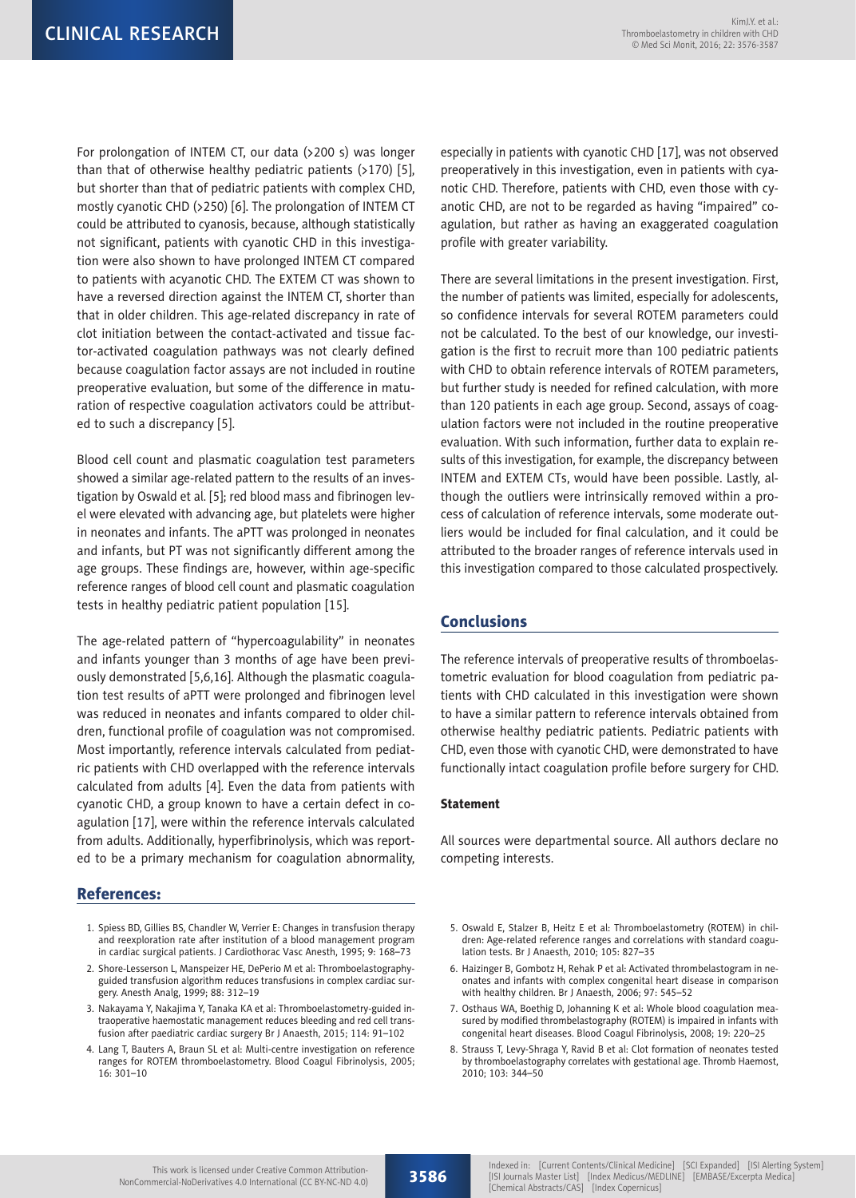For prolongation of INTEM CT, our data (>200 s) was longer than that of otherwise healthy pediatric patients  $($ >170) [5], but shorter than that of pediatric patients with complex CHD, mostly cyanotic CHD (>250) [6]. The prolongation of INTEM CT could be attributed to cyanosis, because, although statistically not significant, patients with cyanotic CHD in this investigation were also shown to have prolonged INTEM CT compared to patients with acyanotic CHD. The EXTEM CT was shown to have a reversed direction against the INTEM CT, shorter than that in older children. This age-related discrepancy in rate of clot initiation between the contact-activated and tissue factor-activated coagulation pathways was not clearly defined because coagulation factor assays are not included in routine preoperative evaluation, but some of the difference in maturation of respective coagulation activators could be attributed to such a discrepancy [5].

Blood cell count and plasmatic coagulation test parameters showed a similar age-related pattern to the results of an investigation by Oswald et al. [5]; red blood mass and fibrinogen level were elevated with advancing age, but platelets were higher in neonates and infants. The aPTT was prolonged in neonates and infants, but PT was not significantly different among the age groups. These findings are, however, within age-specific reference ranges of blood cell count and plasmatic coagulation tests in healthy pediatric patient population [15].

The age-related pattern of "hypercoagulability" in neonates and infants younger than 3 months of age have been previously demonstrated [5,6,16]. Although the plasmatic coagulation test results of aPTT were prolonged and fibrinogen level was reduced in neonates and infants compared to older children, functional profile of coagulation was not compromised. Most importantly, reference intervals calculated from pediatric patients with CHD overlapped with the reference intervals calculated from adults [4]. Even the data from patients with cyanotic CHD, a group known to have a certain defect in coagulation [17], were within the reference intervals calculated from adults. Additionally, hyperfibrinolysis, which was reported to be a primary mechanism for coagulation abnormality,

### References:

- 1. Spiess BD, Gillies BS, Chandler W, Verrier E: Changes in transfusion therapy and reexploration rate after institution of a blood management program in cardiac surgical patients. J Cardiothorac Vasc Anesth, 1995; 9: 168–73
- 2. Shore-Lesserson L, Manspeizer HE, DePerio M et al: Thromboelastographyguided transfusion algorithm reduces transfusions in complex cardiac surgery. Anesth Analg, 1999; 88: 312–19
- 3. Nakayama Y, Nakajima Y, Tanaka KA et al: Thromboelastometry-guided intraoperative haemostatic management reduces bleeding and red cell transfusion after paediatric cardiac surgery Br J Anaesth, 2015; 114: 91–102
- 4. Lang T, Bauters A, Braun SL et al: Multi-centre investigation on reference ranges for ROTEM thromboelastometry. Blood Coagul Fibrinolysis, 2005; 16: 301–10

especially in patients with cyanotic CHD [17], was not observed preoperatively in this investigation, even in patients with cyanotic CHD. Therefore, patients with CHD, even those with cyanotic CHD, are not to be regarded as having "impaired" coagulation, but rather as having an exaggerated coagulation profile with greater variability.

There are several limitations in the present investigation. First, the number of patients was limited, especially for adolescents, so confidence intervals for several ROTEM parameters could not be calculated. To the best of our knowledge, our investigation is the first to recruit more than 100 pediatric patients with CHD to obtain reference intervals of ROTEM parameters, but further study is needed for refined calculation, with more than 120 patients in each age group. Second, assays of coagulation factors were not included in the routine preoperative evaluation. With such information, further data to explain results of this investigation, for example, the discrepancy between INTEM and EXTEM CTs, would have been possible. Lastly, although the outliers were intrinsically removed within a process of calculation of reference intervals, some moderate outliers would be included for final calculation, and it could be attributed to the broader ranges of reference intervals used in this investigation compared to those calculated prospectively.

## Conclusions

The reference intervals of preoperative results of thromboelastometric evaluation for blood coagulation from pediatric patients with CHD calculated in this investigation were shown to have a similar pattern to reference intervals obtained from otherwise healthy pediatric patients. Pediatric patients with CHD, even those with cyanotic CHD, were demonstrated to have functionally intact coagulation profile before surgery for CHD.

#### Statement

All sources were departmental source. All authors declare no competing interests.

- 5. Oswald E, Stalzer B, Heitz E et al: Thromboelastometry (ROTEM) in children: Age-related reference ranges and correlations with standard coagulation tests. Br J Anaesth, 2010; 105: 827–35
- 6. Haizinger B, Gombotz H, Rehak P et al: Activated thrombelastogram in neonates and infants with complex congenital heart disease in comparison with healthy children. Br J Anaesth, 2006; 97: 545–52
- 7. Osthaus WA, Boethig D, Johanning K et al: Whole blood coagulation measured by modified thrombelastography (ROTEM) is impaired in infants with congenital heart diseases. Blood Coagul Fibrinolysis, 2008; 19: 220–25
- 8. Strauss T, Levy-Shraga Y, Ravid B et al: Clot formation of neonates tested by thromboelastography correlates with gestational age. Thromb Haemost, 2010; 103: 344–50

3586